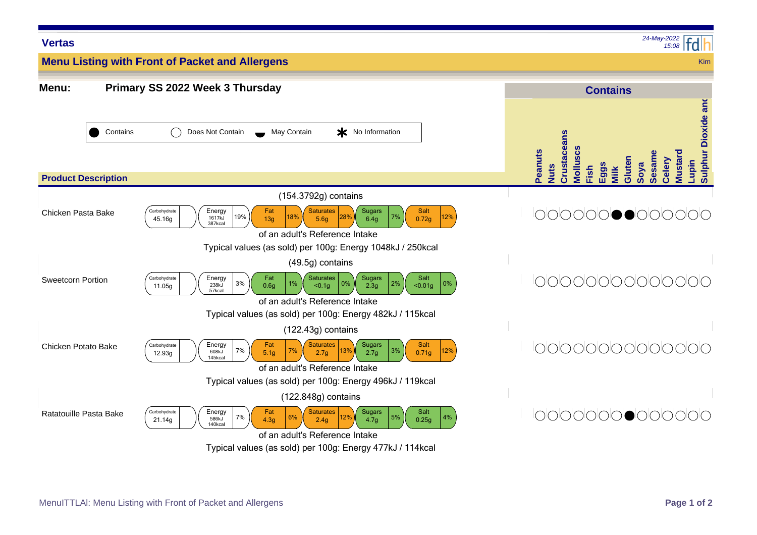